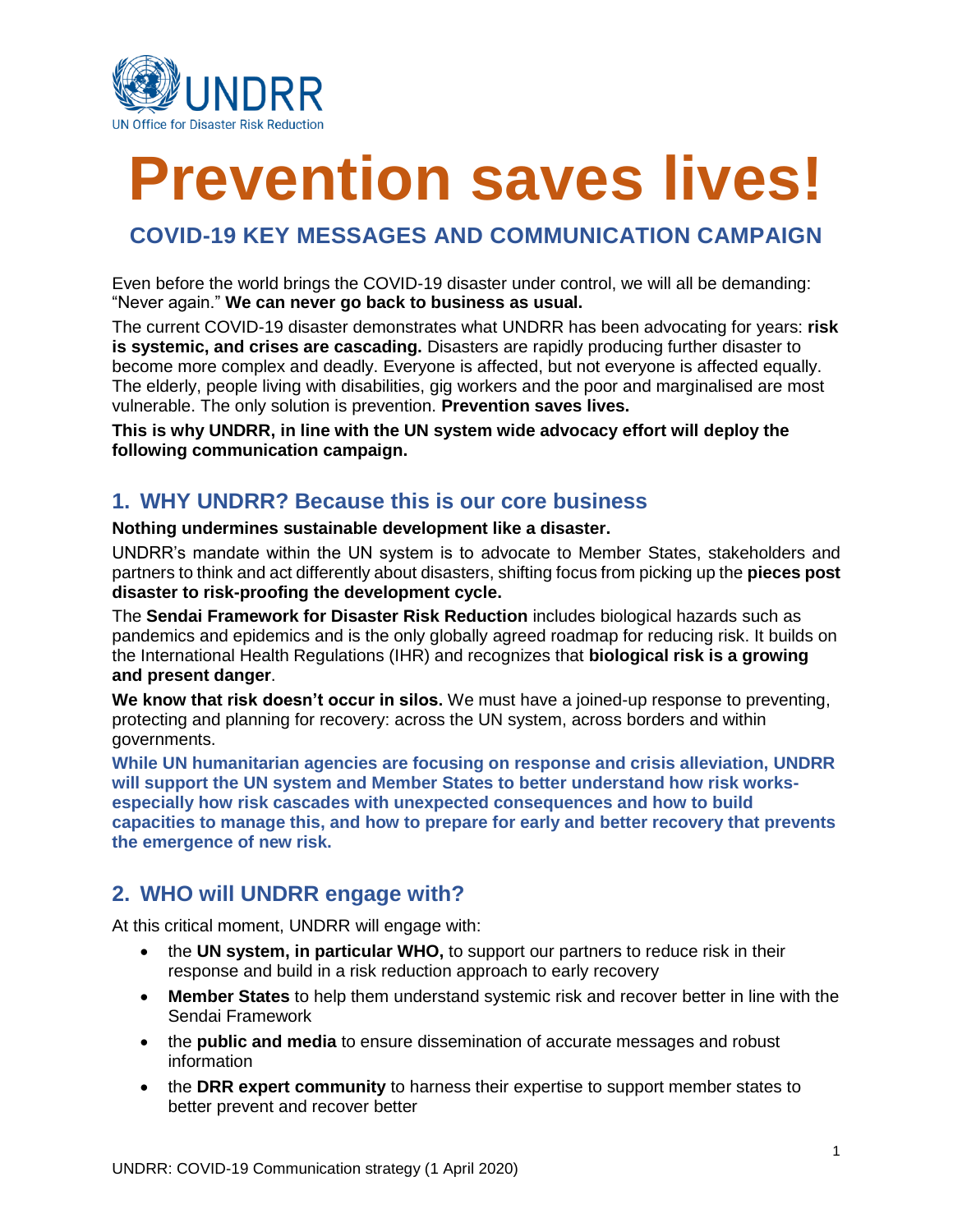

# **Prevention saves lives!**

## **COVID-19 KEY MESSAGES AND COMMUNICATION CAMPAIGN**

Even before the world brings the COVID-19 disaster under control, we will all be demanding: "Never again." **We can never go back to business as usual.** 

The current COVID-19 disaster demonstrates what UNDRR has been advocating for years: **risk is systemic, and crises are cascading.** Disasters are rapidly producing further disaster to become more complex and deadly. Everyone is affected, but not everyone is affected equally. The elderly, people living with disabilities, gig workers and the poor and marginalised are most vulnerable. The only solution is prevention. **Prevention saves lives.**

**This is why UNDRR, in line with the UN system wide advocacy effort will deploy the following communication campaign.** 

## **1. WHY UNDRR? Because this is our core business**

#### **Nothing undermines sustainable development like a disaster.**

UNDRR's mandate within the UN system is to advocate to Member States, stakeholders and partners to think and act differently about disasters, shifting focus from picking up the **pieces post disaster to risk-proofing the development cycle.**

The **Sendai Framework for Disaster Risk Reduction** includes biological hazards such as pandemics and epidemics and is the only globally agreed roadmap for reducing risk. It builds on the International Health Regulations (IHR) and recognizes that **biological risk is a growing and present danger**.

**We know that risk doesn't occur in silos.** We must have a joined-up response to preventing, protecting and planning for recovery: across the UN system, across borders and within governments.

**While UN humanitarian agencies are focusing on response and crisis alleviation, UNDRR will support the UN system and Member States to better understand how risk worksespecially how risk cascades with unexpected consequences and how to build capacities to manage this, and how to prepare for early and better recovery that prevents the emergence of new risk.** 

## **2. WHO will UNDRR engage with?**

At this critical moment, UNDRR will engage with:

- the **UN system, in particular WHO,** to support our partners to reduce risk in their response and build in a risk reduction approach to early recovery
- **Member States** to help them understand systemic risk and recover better in line with the Sendai Framework
- the **public and media** to ensure dissemination of accurate messages and robust information
- the **DRR expert community** to harness their expertise to support member states to better prevent and recover better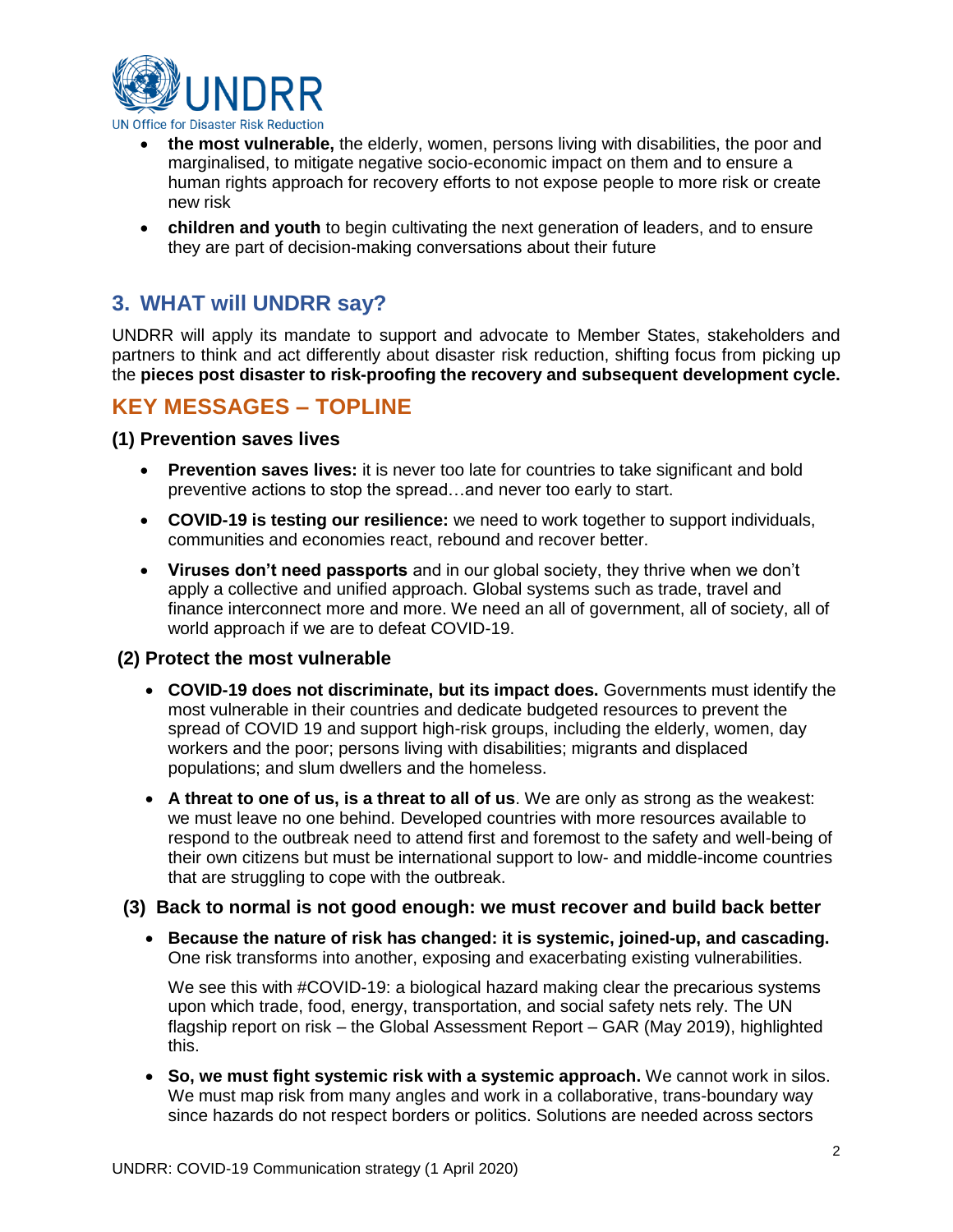

- **the most vulnerable,** the elderly, women, persons living with disabilities, the poor and marginalised, to mitigate negative socio-economic impact on them and to ensure a human rights approach for recovery efforts to not expose people to more risk or create new risk
- **children and youth** to begin cultivating the next generation of leaders, and to ensure they are part of decision-making conversations about their future

## **3. WHAT will UNDRR say?**

UNDRR will apply its mandate to support and advocate to Member States, stakeholders and partners to think and act differently about disaster risk reduction, shifting focus from picking up the **pieces post disaster to risk-proofing the recovery and subsequent development cycle.**

## **KEY MESSAGES – TOPLINE**

**(1) Prevention saves lives**

- **Prevention saves lives:** it is never too late for countries to take significant and bold preventive actions to stop the spread…and never too early to start.
- **COVID-19 is testing our resilience:** we need to work together to support individuals, communities and economies react, rebound and recover better.
- **Viruses don't need passports** and in our global society, they thrive when we don't apply a collective and unified approach. Global systems such as trade, travel and finance interconnect more and more. We need an all of government, all of society, all of world approach if we are to defeat COVID-19.

## **(2) Protect the most vulnerable**

- **COVID-19 does not discriminate, but its impact does.** Governments must identify the most vulnerable in their countries and dedicate budgeted resources to prevent the spread of COVID 19 and support high-risk groups, including the elderly, women, day workers and the poor; persons living with disabilities; migrants and displaced populations; and slum dwellers and the homeless.
- **A threat to one of us, is a threat to all of us**. We are only as strong as the weakest: we must leave no one behind. Developed countries with more resources available to respond to the outbreak need to attend first and foremost to the safety and well-being of their own citizens but must be international support to low- and middle-income countries that are struggling to cope with the outbreak.

## **(3) Back to normal is not good enough: we must recover and build back better**

• **Because the nature of risk has changed: it is systemic, joined-up, and cascading.**  One risk transforms into another, exposing and exacerbating existing vulnerabilities.

We see this with #COVID-19: a biological hazard making clear the precarious systems upon which trade, food, energy, transportation, and social safety nets rely. The UN flagship report on risk – the Global Assessment Report – GAR (May 2019), highlighted this.

• **So, we must fight systemic risk with a systemic approach.** We cannot work in silos. We must map risk from many angles and work in a collaborative, trans-boundary way since hazards do not respect borders or politics. Solutions are needed across sectors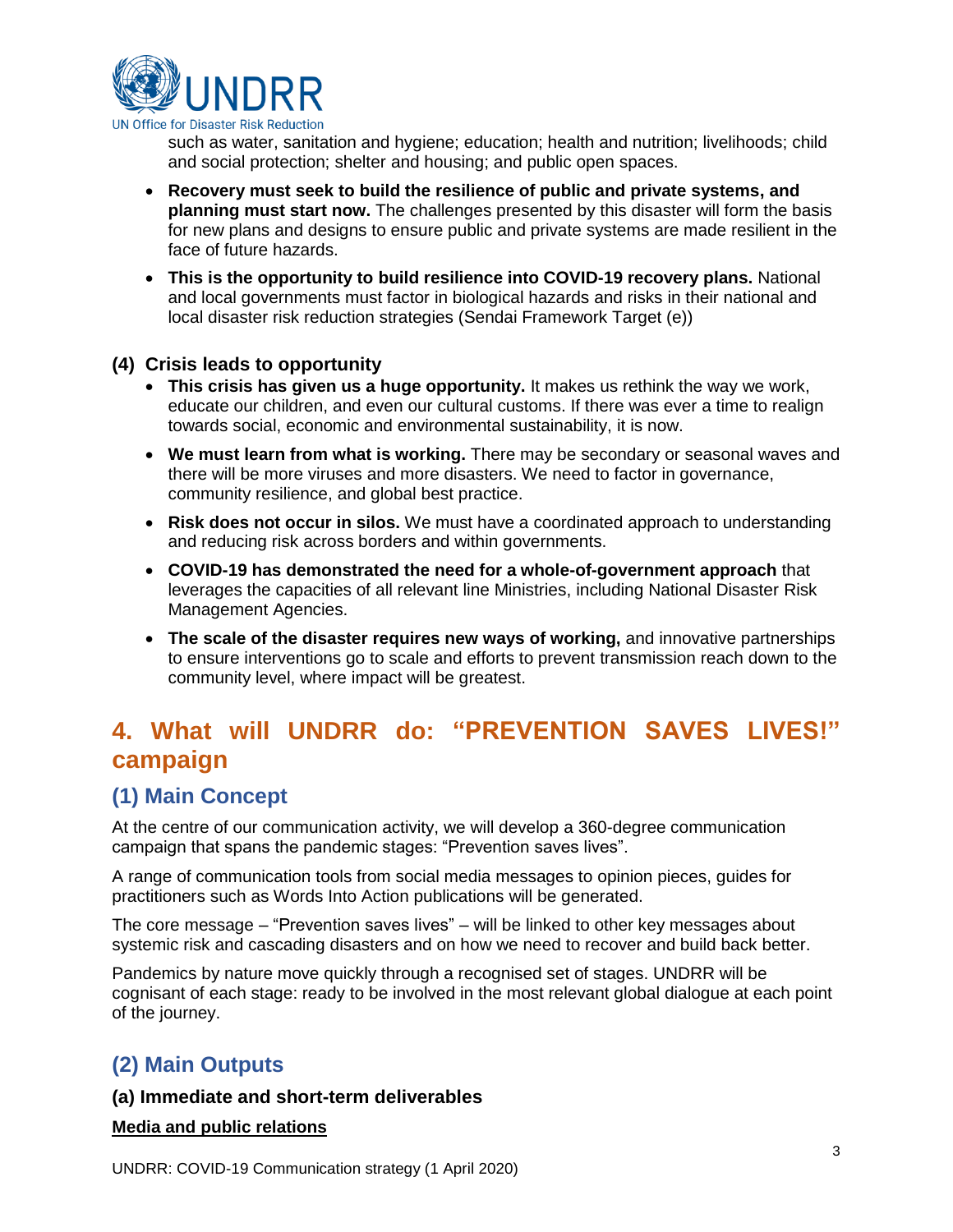

such as water, sanitation and hygiene; education; health and nutrition; livelihoods; child and social protection; shelter and housing; and public open spaces.

- **Recovery must seek to build the resilience of public and private systems, and planning must start now.** The challenges presented by this disaster will form the basis for new plans and designs to ensure public and private systems are made resilient in the face of future hazards.
- **This is the opportunity to build resilience into COVID-19 recovery plans.** National and local governments must factor in biological hazards and risks in their national and local disaster risk reduction strategies (Sendai Framework Target (e))

## **(4) Crisis leads to opportunity**

- **This crisis has given us a huge opportunity.** It makes us rethink the way we work, educate our children, and even our cultural customs. If there was ever a time to realign towards social, economic and environmental sustainability, it is now.
- **We must learn from what is working.** There may be secondary or seasonal waves and there will be more viruses and more disasters. We need to factor in governance, community resilience, and global best practice.
- **Risk does not occur in silos.** We must have a coordinated approach to understanding and reducing risk across borders and within governments.
- **COVID-19 has demonstrated the need for a whole-of-government approach** that leverages the capacities of all relevant line Ministries, including National Disaster Risk Management Agencies.
- The scale of the disaster requires new ways of working, and innovative partnerships to ensure interventions go to scale and efforts to prevent transmission reach down to the community level, where impact will be greatest.

## **4. What will UNDRR do: "PREVENTION SAVES LIVES!" campaign**

## **(1) Main Concept**

At the centre of our communication activity, we will develop a 360-degree communication campaign that spans the pandemic stages: "Prevention saves lives".

A range of communication tools from social media messages to opinion pieces, guides for practitioners such as Words Into Action publications will be generated.

The core message – "Prevention saves lives" – will be linked to other key messages about systemic risk and cascading disasters and on how we need to recover and build back better.

Pandemics by nature move quickly through a recognised set of stages. UNDRR will be cognisant of each stage: ready to be involved in the most relevant global dialogue at each point of the journey.

## **(2) Main Outputs**

### **(a) Immediate and short-term deliverables**

**Media and public relations**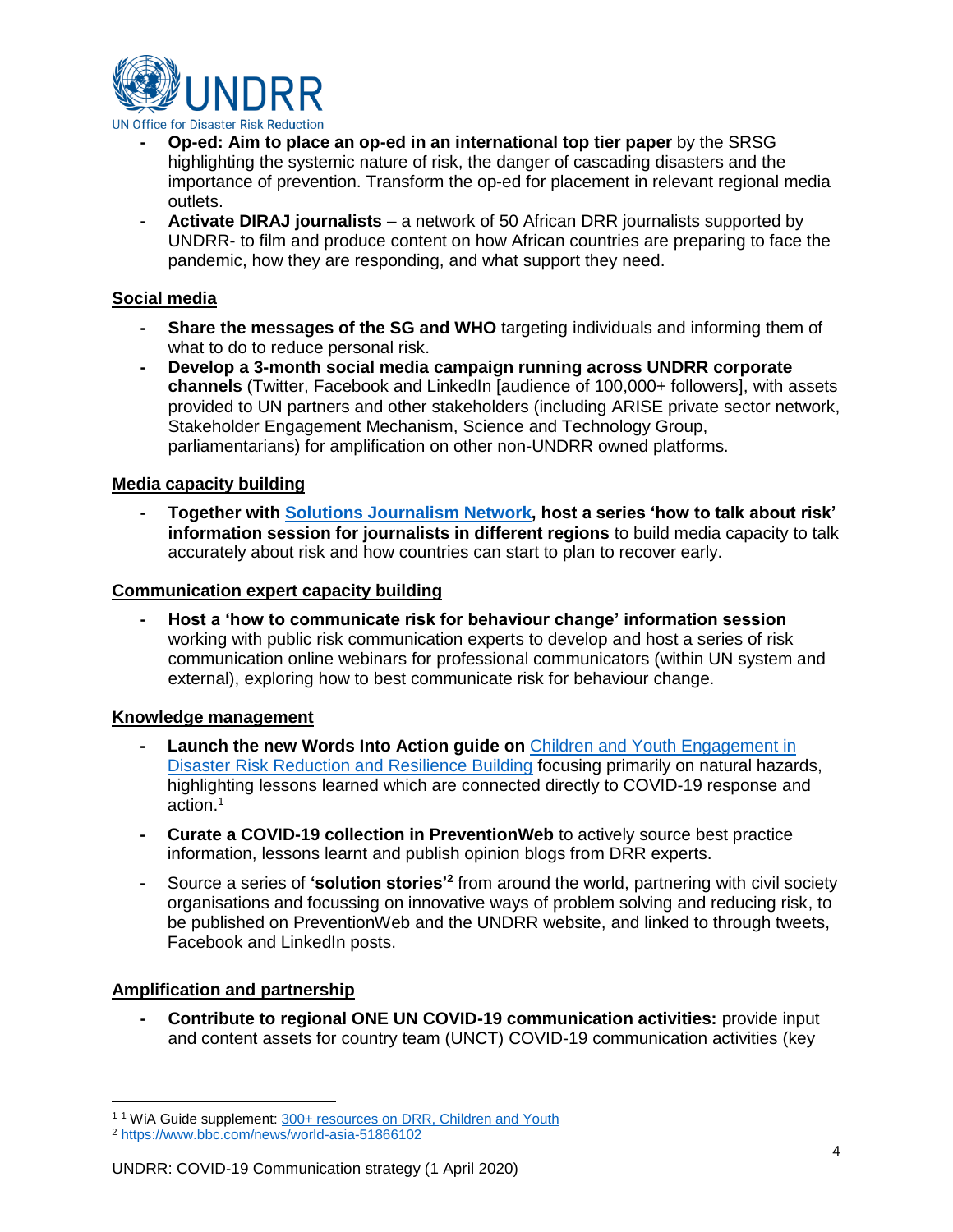

- **- Op-ed: Aim to place an op-ed in an international top tier paper** by the SRSG highlighting the systemic nature of risk, the danger of cascading disasters and the importance of prevention. Transform the op-ed for placement in relevant regional media outlets.
- **- Activate DIRAJ journalists** a network of 50 African DRR journalists supported by UNDRR- to film and produce content on how African countries are preparing to face the pandemic, how they are responding, and what support they need.

## **Social media**

- **- Share the messages of the SG and WHO** targeting individuals and informing them of what to do to reduce personal risk.
- **- Develop a 3-month social media campaign running across UNDRR corporate channels** (Twitter, Facebook and LinkedIn [audience of 100,000+ followers], with assets provided to UN partners and other stakeholders (including ARISE private sector network, Stakeholder Engagement Mechanism, Science and Technology Group, parliamentarians) for amplification on other non-UNDRR owned platforms.

### **Media capacity building**

**- Together with [Solutions Journalism](https://www.solutionsjournalism.org/) Network, host a series 'how to talk about risk' information session for journalists in different regions** to build media capacity to talk accurately about risk and how countries can start to plan to recover early.

#### **Communication expert capacity building**

**- Host a 'how to communicate risk for behaviour change' information session** working with public risk communication experts to develop and host a series of risk communication online webinars for professional communicators (within UN system and external), exploring how to best communicate risk for behaviour change.

#### **Knowledge management**

- **- Launch the new Words Into Action guide on** [Children and Youth Engagement in](https://www.preventionweb.net/publications/view/67704)  [Disaster Risk Reduction and Resilience Building](https://www.preventionweb.net/publications/view/67704) focusing primarily on natural hazards, highlighting lessons learned which are connected directly to COVID-19 response and action. 1
- **- Curate a COVID-19 collection in PreventionWeb** to actively source best practice information, lessons learnt and [publish opinion blogs](https://www.preventionweb.net/news/view/70921) from DRR experts.
- **-** Source a series of **'solution stories'<sup>2</sup>** from around the world, partnering with civil society organisations and focussing on innovative ways of problem solving and reducing risk, to be published on PreventionWeb and the UNDRR website, and linked to through tweets, Facebook and LinkedIn posts.

### **Amplification and partnership**

 $\overline{a}$ 

**- Contribute to regional ONE UN COVID-19 communication activities:** provide input and content assets for country team (UNCT) COVID-19 communication activities (key

<sup>&</sup>lt;sup>11</sup> WiA Guide supplement[: 300+ resources on DRR, Children and Youth](https://www.preventionweb.net/files/67704_wiachildrenyouthresources.pdf)

<sup>2</sup> <https://www.bbc.com/news/world-asia-51866102>